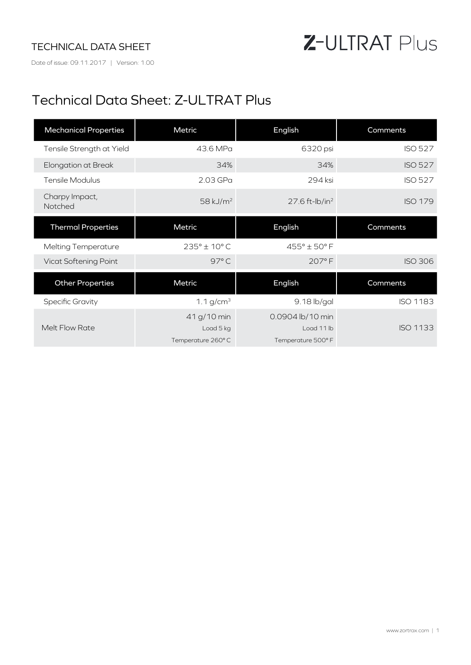### TECHNICAL DATA SHEET

Date of issue: 09.11.2017 | Version: 1.00

# Z-ULTRAT Plus

## Technical Data Sheet: Z-ULTRAT Plus

| <b>Mechanical Properties</b> | Metric                | English                      | Comments        |
|------------------------------|-----------------------|------------------------------|-----------------|
| Tensile Strength at Yield    | 43.6 MPa              | 6320 psi                     | <b>ISO 527</b>  |
| Elongation at Break          | 34%                   | 34%                          | <b>ISO 527</b>  |
| <b>Tensile Modulus</b>       | 2.03 GPa              | 294 ksi                      | <b>ISO 527</b>  |
| Charpy Impact,<br>Notched    | 58 kJ/m <sup>2</sup>  | $27.6$ ft-lb/in <sup>2</sup> | <b>ISO 179</b>  |
| <b>Thermal Properties</b>    | Metric                | English                      | Comments        |
| <b>Melting Temperature</b>   | $235^{\circ}$ ± 10° C | $455^\circ \pm 50^\circ$ F   |                 |
| Vicat Softening Point        | 97°C                  | 207°F                        | <b>ISO 306</b>  |
| <b>Other Properties</b>      | Metric                | English                      | Comments        |
| <b>Specific Gravity</b>      | 1.1 $g/cm^{3}$        | 9.18 lb/gal                  | ISO 1183        |
|                              | 41 g/10 min           | 0.0904 lb/10 min             |                 |
| Melt Flow Rate               | Load 5 kg             | Load 11 lb                   | <b>ISO 1133</b> |
|                              | Temperature 260°C     | Temperature 500° F           |                 |